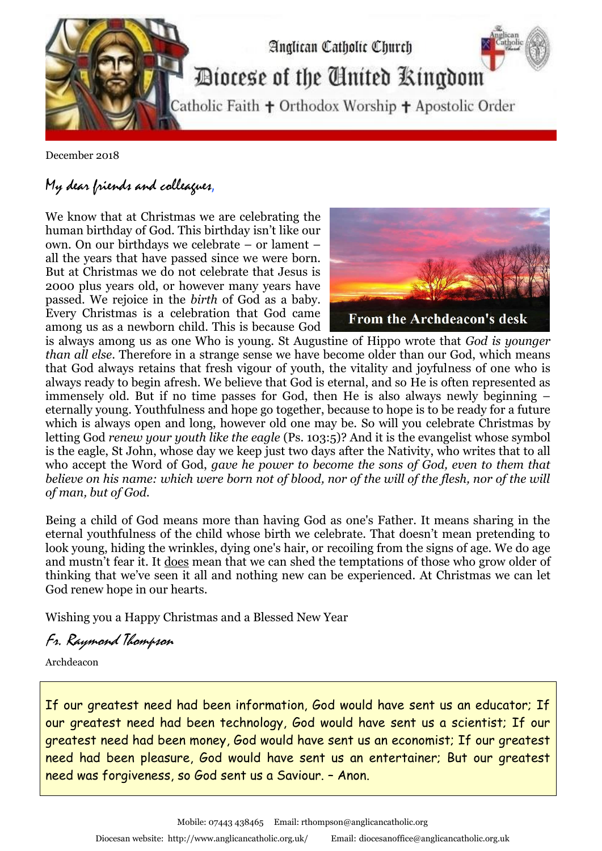

December 2018

## My dear friends and colleagues,

We know that at Christmas we are celebrating the human birthday of God. This birthday isn't like our own. On our birthdays we celebrate – or lament – all the years that have passed since we were born. But at Christmas we do not celebrate that Jesus is 2000 plus years old, or however many years have passed. We rejoice in the *birth* of God as a baby. Every Christmas is a celebration that God came among us as a newborn child. This is because God



is always among us as one Who is young. St Augustine of Hippo wrote that *God is younger than all else*. Therefore in a strange sense we have become older than our God, which means that God always retains that fresh vigour of youth, the vitality and joyfulness of one who is always ready to begin afresh. We believe that God is eternal, and so He is often represented as immensely old. But if no time passes for God, then He is also always newly beginning – eternally young. Youthfulness and hope go together, because to hope is to be ready for a future which is always open and long, however old one may be. So will you celebrate Christmas by letting God *renew your youth like the eagle* (Ps. 103:5)? And it is the evangelist whose symbol is the eagle, St John, whose day we keep just two days after the Nativity, who writes that to all who accept the Word of God, *gave he power to become the sons of God, even to them that believe on his name: which were born not of blood, nor of the will of the flesh, nor of the will of man, but of God.* 

Being a child of God means more than having God as one's Father. It means sharing in the eternal youthfulness of the child whose birth we celebrate. That doesn't mean pretending to look young, hiding the wrinkles, dying one's hair, or recoiling from the signs of age. We do age and mustn't fear it. It does mean that we can shed the temptations of those who grow older of thinking that we've seen it all and nothing new can be experienced. At Christmas we can let God renew hope in our hearts.

Wishing you a Happy Christmas and a Blessed New Year

Fr. Raymond Thompson

Archdeacon

If our greatest need had been information, God would have sent us an educator; If our greatest need had been technology, God would have sent us a scientist; If our greatest need had been money, God would have sent us an economist; If our greatest need had been pleasure, God would have sent us an entertainer; But our greatest need was forgiveness, so God sent us a Saviour. – Anon.